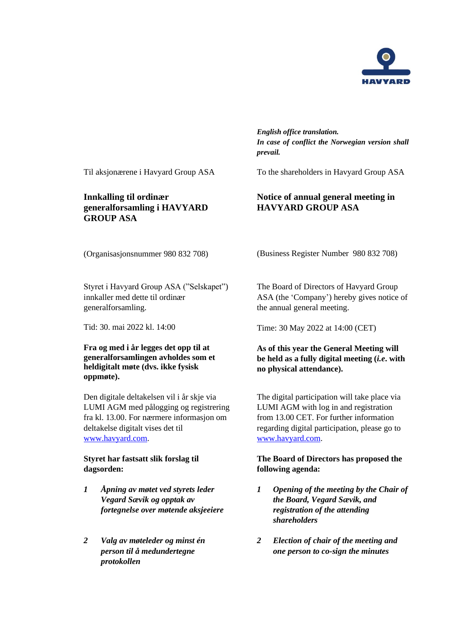

*English office translation. In case of conflict the Norwegian version shall prevail.*

Til aksjonærene i Havyard Group ASA To the shareholders in Havyard Group ASA

## **Innkalling til ordinær generalforsamling i HAVYARD GROUP ASA**

(Business Register Number 980 832 708)

**Notice of annual general meeting in**

**HAVYARD GROUP ASA**

(Organisasjonsnummer 980 832 708)

Styret i Havyard Group ASA ("Selskapet") innkaller med dette til ordinær generalforsamling.

### **Fra og med i år legges det opp til at generalforsamlingen avholdes som et heldigitalt møte (dvs. ikke fysisk oppmøte).**

Den digitale deltakelsen vil i år skje via LUMI AGM med pålogging og registrering fra kl. 13.00. For nærmere informasjon om deltakelse digitalt vises det til [www.havyard.com.](http://www.havyard.com/)

## **Styret har fastsatt slik forslag til dagsorden:**

- *1 Åpning av møtet ved styrets leder Vegard Sævik og opptak av fortegnelse over møtende aksjeeiere*
- *2 Valg av møteleder og minst én person til å medundertegne protokollen*

The Board of Directors of Havyard Group ASA (the 'Company') hereby gives notice of the annual general meeting.

Tid: 30. mai 2022 kl. 14:00 Time: 30 May 2022 at 14:00 (CET)

## **As of this year the General Meeting will be held as a fully digital meeting (***i.e***. with no physical attendance).**

The digital participation will take place via LUMI AGM with log in and registration from 13.00 CET. For further information regarding digital participation, please go to [www.havyard.com.](http://www.havyard.com/)

## **The Board of Directors has proposed the following agenda:**

- *1 Opening of the meeting by the Chair of the Board, Vegard Sævik, and registration of the attending shareholders*
- *2 Election of chair of the meeting and one person to co-sign the minutes*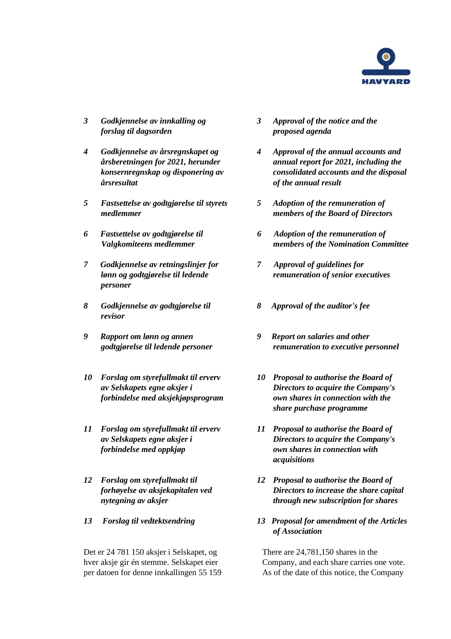

- *3 Godkjennelse av innkalling og forslag til dagsorden*
- *4 Godkjennelse av årsregnskapet og årsberetningen for 2021, herunder konsernregnskap og disponering av årsresultat*
- *5 Fastsettelse av godtgjørelse til styrets medlemmer*
- *6 Fastsettelse av godtgjørelse til Valgkomiteens medlemmer*
- *7 Godkjennelse av retningslinjer for lønn og godtgjørelse til ledende personer*
- *8 Godkjennelse av godtgjørelse til revisor*
- *9 Rapport om lønn og annen godtgjørelse til ledende personer*
- *10 Forslag om styrefullmakt til erverv av Selskapets egne aksjer i forbindelse med aksjekjøpsprogram*
- *11 Forslag om styrefullmakt til erverv av Selskapets egne aksjer i forbindelse med oppkjøp*
- *12 Forslag om styrefullmakt til forhøyelse av aksjekapitalen ved nytegning av aksjer*
- 

Det er 24 781 150 aksjer i Selskapet, og hver aksje gir én stemme. Selskapet eier per datoen for denne innkallingen 55 159

- *3 Approval of the notice and the proposed agenda*
- *4 Approval of the annual accounts and annual report for 2021, including the consolidated accounts and the disposal of the annual result*
- *5 Adoption of the remuneration of members of the Board of Directors*
- *6 Adoption of the remuneration of members of the Nomination Committee*
- *7 Approval of guidelines for remuneration of senior executives*
- *8 Approval of the auditor's fee*
- *9 Report on salaries and other remuneration to executive personnel*
- *10 Proposal to authorise the Board of Directors to acquire the Company's own shares in connection with the share purchase programme*
- *11 Proposal to authorise the Board of Directors to acquire the Company's own shares in connection with acquisitions*
- *12 Proposal to authorise the Board of Directors to increase the share capital through new subscription for shares*
- *13 Forslag til vedtektsendring 13 Proposal for amendment of the Articles of Association*

There are 24,781,150 shares in the Company, and each share carries one vote. As of the date of this notice, the Company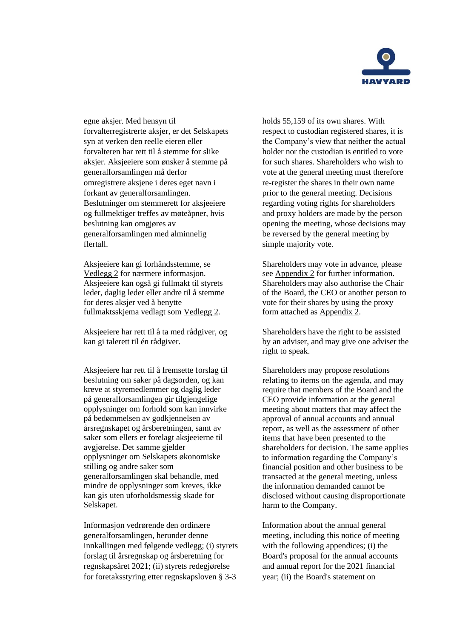

egne aksjer. Med hensyn til forvalterregistrerte aksjer, er det Selskapets syn at verken den reelle eieren eller forvalteren har rett til å stemme for slike aksjer. Aksjeeiere som ønsker å stemme på generalforsamlingen må derfor omregistrere aksjene i deres eget navn i forkant av generalforsamlingen. Beslutninger om stemmerett for aksjeeiere og fullmektiger treffes av møteåpner, hvis beslutning kan omgjøres av generalforsamlingen med alminnelig flertall.

Aksjeeiere kan gi forhåndsstemme, se Vedlegg 2 for nærmere informasjon. Aksjeeiere kan også gi fullmakt til styrets leder, daglig leder eller andre til å stemme for deres aksjer ved å benytte fullmaktsskjema vedlagt som Vedlegg 2.

Aksjeeiere har rett til å ta med rådgiver, og kan gi talerett til én rådgiver.

Aksjeeiere har rett til å fremsette forslag til beslutning om saker på dagsorden, og kan kreve at styremedlemmer og daglig leder på generalforsamlingen gir tilgjengelige opplysninger om forhold som kan innvirke på bedømmelsen av godkjennelsen av årsregnskapet og årsberetningen, samt av saker som ellers er forelagt aksjeeierne til avgjørelse. Det samme gjelder opplysninger om Selskapets økonomiske stilling og andre saker som generalforsamlingen skal behandle, med mindre de opplysninger som kreves, ikke kan gis uten uforholdsmessig skade for Selskapet.

Informasjon vedrørende den ordinære generalforsamlingen, herunder denne innkallingen med følgende vedlegg; (i) styrets forslag til årsregnskap og årsberetning for regnskapsåret 2021; (ii) styrets redegjørelse for foretaksstyring etter regnskapsloven § 3-3

holds 55,159 of its own shares. With respect to custodian registered shares, it is the Company's view that neither the actual holder nor the custodian is entitled to vote for such shares. Shareholders who wish to vote at the general meeting must therefore re-register the shares in their own name prior to the general meeting. Decisions regarding voting rights for shareholders and proxy holders are made by the person opening the meeting, whose decisions may be reversed by the general meeting by simple majority vote.

Shareholders may vote in advance, please see Appendix 2 for further information. Shareholders may also authorise the Chair of the Board, the CEO or another person to vote for their shares by using the proxy form attached as Appendix 2.

Shareholders have the right to be assisted by an adviser, and may give one adviser the right to speak.

Shareholders may propose resolutions relating to items on the agenda, and may require that members of the Board and the CEO provide information at the general meeting about matters that may affect the approval of annual accounts and annual report, as well as the assessment of other items that have been presented to the shareholders for decision. The same applies to information regarding the Company's financial position and other business to be transacted at the general meeting, unless the information demanded cannot be disclosed without causing disproportionate harm to the Company.

Information about the annual general meeting, including this notice of meeting with the following appendices; (i) the Board's proposal for the annual accounts and annual report for the 2021 financial year; (ii) the Board's statement on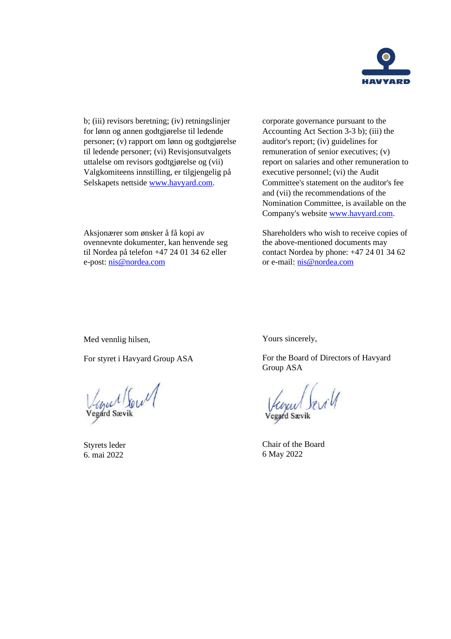

b; (iii) revisors beretning; (iv) retningslinjer for lønn og annen godtgjørelse til ledende personer; (v) rapport om lønn og godtgjørelse til ledende personer; (vi) Revisjonsutvalgets uttalelse om revisors godtgjørelse og (vii) Valgkomiteens innstilling, er tilgjengelig på Selskapets nettside [www.havyard.com.](http://www.havyard.com/)

corporate governance pursuant to the Accounting Act Section 3-3 b); (iii) the auditor's report; (iv) guidelines for remuneration of senior executives; (v) report on salaries and other remuneration to executive personnel; (vi) the Audit Committee's statement on the auditor's fee and (vii) the recommendations of the Nomination Committee, is available on the Company's website [www.havyard.com.](http://www.havyard.com/)

Shareholders who wish to receive copies of the above-mentioned documents may contact Nordea by phone: +47 24 01 34 62 or e-mail: [nis@nordea.com](mailto:nis@nordea.com)

Med vennlig hilsen,

e-post: [nis@nordea.com](mailto:nis@nordea.com)

For styret i Havyard Group ASA

Aksjonærer som ønsker å få kopi av ovennevnte dokumenter, kan henvende seg til Nordea på telefon +47 24 01 34 62 eller

Vegard Soul

Styrets leder 6. mai 2022

Yours sincerely,

For the Board of Directors of Havyard Group ASA

Vegard Sevil

Chair of the Board 6 May 2022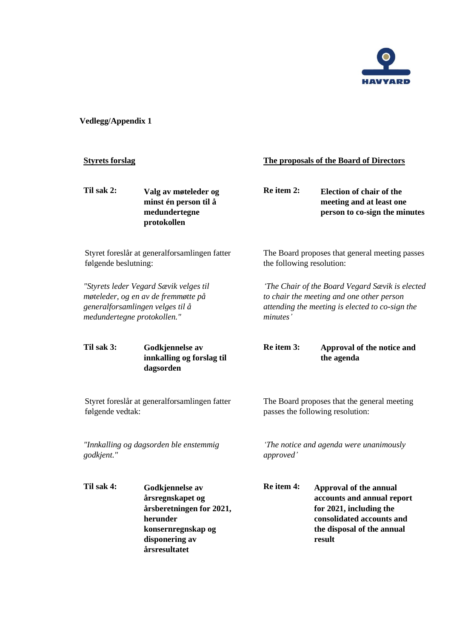

# **Vedlegg/Appendix 1**

| <b>Styrets forslag</b>                                            |                                                                                                                                      |            | The proposals of the Board of Directors                                                                                                                     |  |  |  |
|-------------------------------------------------------------------|--------------------------------------------------------------------------------------------------------------------------------------|------------|-------------------------------------------------------------------------------------------------------------------------------------------------------------|--|--|--|
| Til sak 2:                                                        | Valg av møteleder og<br>minst én person til å<br>medundertegne<br>protokollen                                                        | Re item 2: | <b>Election of chair of the</b><br>meeting and at least one<br>person to co-sign the minutes                                                                |  |  |  |
| følgende beslutning:                                              | Styret foreslår at generalforsamlingen fatter                                                                                        |            | The Board proposes that general meeting passes<br>the following resolution:                                                                                 |  |  |  |
| medundertegne protokollen."                                       | "Styrets leder Vegard Sævik velges til<br>møteleder, og en av de fremmøtte på<br>generalforsamlingen velges til å                    | minutes'   | 'The Chair of the Board Vegard Sævik is elected<br>to chair the meeting and one other person<br>attending the meeting is elected to co-sign the             |  |  |  |
| Til sak 3:                                                        | Godkjennelse av<br>innkalling og forslag til<br>dagsorden                                                                            | Re item 3: | Approval of the notice and<br>the agenda                                                                                                                    |  |  |  |
| Styret foreslår at generalforsamlingen fatter<br>følgende vedtak: |                                                                                                                                      |            | The Board proposes that the general meeting<br>passes the following resolution:                                                                             |  |  |  |
| "Innkalling og dagsorden ble enstemmig<br>godkjent."              |                                                                                                                                      | approved'  | 'The notice and agenda were unanimously                                                                                                                     |  |  |  |
| Til sak 4:                                                        | Godkjennelse av<br>årsregnskapet og<br>årsberetningen for 2021,<br>herunder<br>konsernregnskap og<br>disponering av<br>årsresultatet | Re item 4: | <b>Approval of the annual</b><br>accounts and annual report<br>for 2021, including the<br>consolidated accounts and<br>the disposal of the annual<br>result |  |  |  |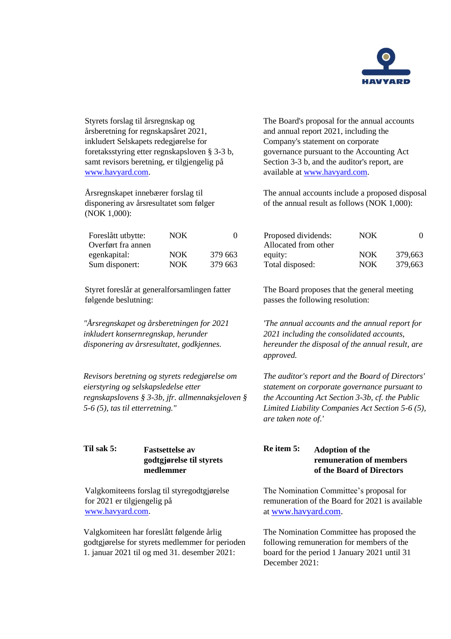

Styrets forslag til årsregnskap og årsberetning for regnskapsåret 2021, inkludert Selskapets redegjørelse for foretaksstyring etter regnskapsloven § 3-3 b, samt revisors beretning, er tilgjengelig på [www.havyard.com.](http://www.havyard.com/)

Årsregnskapet innebærer forslag til disponering av årsresultatet som følger (NOK 1,000):

| Foreslått utbytte: | NOK  | 0       |
|--------------------|------|---------|
| Overført fra annen |      |         |
| egenkapital:       | NOK. | 379 663 |
| Sum disponert:     | NOK  | 379 663 |

Styret foreslår at generalforsamlingen fatter følgende beslutning:

*"Årsregnskapet og årsberetningen for 2021 inkludert konsernregnskap, herunder disponering av årsresultatet, godkjennes.*

*Revisors beretning og styrets redegjørelse om eierstyring og selskapsledelse etter regnskapslovens § 3-3b, jfr. allmennaksjeloven § 5-6 (5), tas til etterretning."*

## **Til sak 5: Fastsettelse av godtgjørelse til styrets medlemmer**

Valgkomiteens forslag til styregodtgjørelse for 2021 er tilgjengelig på [www.havyard.com.](http://www.havyard.com/)

Valgkomiteen har foreslått følgende årlig godtgjørelse for styrets medlemmer for perioden 1. januar 2021 til og med 31. desember 2021:

The Board's proposal for the annual accounts and annual report 2021, including the Company's statement on corporate governance pursuant to the Accounting Act Section 3-3 b, and the auditor's report, are available at [www.havyard.com.](http://www.havyard.com/)

The annual accounts include a proposed disposal of the annual result as follows (NOK 1,000):

| Proposed dividends:  | NOK        |         |
|----------------------|------------|---------|
| Allocated from other |            |         |
| equity:              | <b>NOK</b> | 379,663 |
| Total disposed:      | <b>NOK</b> | 379,663 |

The Board proposes that the general meeting passes the following resolution:

*'The annual accounts and the annual report for 2021 including the consolidated accounts, hereunder the disposal of the annual result, are approved.*

*The auditor's report and the Board of Directors' statement on corporate governance pursuant to the Accounting Act Section 3-3b, cf. the Public Limited Liability Companies Act Section 5-6 (5), are taken note of.'*

## **Re item 5: Adoption of the remuneration of members of the Board of Directors**

The Nomination Committee's proposal for remuneration of the Board for 2021 is available at [www.havyard.com.](http://www.havyard.com/)

The Nomination Committee has proposed the following remuneration for members of the board for the period 1 January 2021 until 31 December 2021: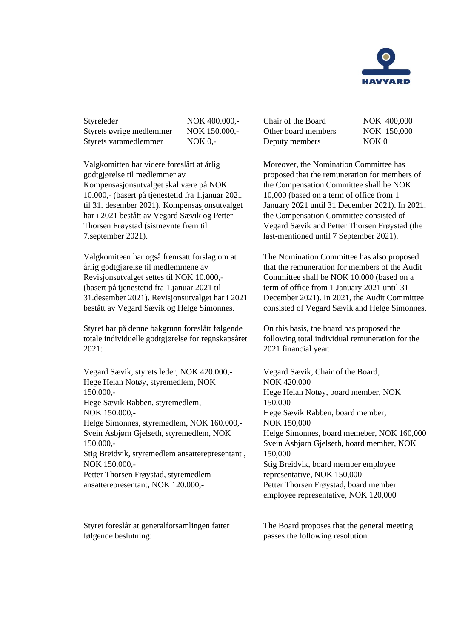

Styreleder NOK 400.000,-Styrets øvrige medlemmer NOK 150.000,-Styrets varamedlemmer NOK 0,-

Valgkomitten har videre foreslått at årlig godtgjørelse til medlemmer av Kompensasjonsutvalget skal være på NOK 10.000,- (basert på tjenestetid fra 1.januar 2021 til 31. desember 2021). Kompensasjonsutvalget har i 2021 bestått av Vegard Sævik og Petter Thorsen Frøystad (sistnevnte frem til 7.september 2021).

Valgkomiteen har også fremsatt forslag om at årlig godtgjørelse til medlemmene av Revisjonsutvalget settes til NOK 10.000,- (basert på tjenestetid fra 1.januar 2021 til 31.desember 2021). Revisjonsutvalget har i 2021 bestått av Vegard Sævik og Helge Simonnes.

Styret har på denne bakgrunn foreslått følgende totale individuelle godtgjørelse for regnskapsåret 2021:

Vegard Sævik, styrets leder, NOK 420.000,- Hege Heian Notøy, styremedlem, NOK 150.000,- Hege Sævik Rabben, styremedlem, NOK 150.000,- Helge Simonnes, styremedlem, NOK 160.000,- Svein Asbjørn Gjelseth, styremedlem, NOK 150.000,- Stig Breidvik, styremedlem ansatterepresentant , NOK 150.000,- Petter Thorsen Frøystad, styremedlem ansatterepresentant, NOK 120.000,-

Styret foreslår at generalforsamlingen fatter følgende beslutning:

| Chair of the Board  | NOK 400,000      |
|---------------------|------------------|
| Other board members | NOK 150,000      |
| Deputy members      | NOK <sub>0</sub> |

Moreover, the Nomination Committee has proposed that the remuneration for members of the Compensation Committee shall be NOK 10,000 (based on a term of office from 1 January 2021 until 31 December 2021). In 2021, the Compensation Committee consisted of Vegard Sævik and Petter Thorsen Frøystad (the last-mentioned until 7 September 2021).

The Nomination Committee has also proposed that the remuneration for members of the Audit Committee shall be NOK 10,000 (based on a term of office from 1 January 2021 until 31 December 2021). In 2021, the Audit Committee consisted of Vegard Sævik and Helge Simonnes.

On this basis, the board has proposed the following total individual remuneration for the 2021 financial year:

Vegard Sævik, Chair of the Board, NOK 420,000 Hege Heian Notøy, board member, NOK 150,000 Hege Sævik Rabben, board member, NOK 150,000 Helge Simonnes, board memeber, NOK 160,000 Svein Asbjørn Gjelseth, board member, NOK 150,000 Stig Breidvik, board member employee representative, NOK 150,000 Petter Thorsen Frøystad, board member employee representative, NOK 120,000

The Board proposes that the general meeting passes the following resolution: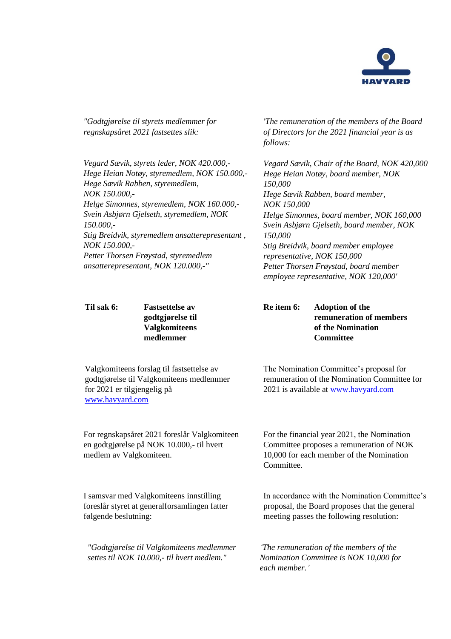

*"Godtgjørelse til styrets medlemmer for regnskapsåret 2021 fastsettes slik:*

*Vegard Sævik, styrets leder, NOK 420.000,- Hege Heian Notøy, styremedlem, NOK 150.000,- Hege Sævik Rabben, styremedlem, NOK 150.000,- Helge Simonnes, styremedlem, NOK 160.000,- Svein Asbjørn Gjelseth, styremedlem, NOK 150.000,- Stig Breidvik, styremedlem ansatterepresentant , NOK 150.000,- Petter Thorsen Frøystad, styremedlem ansatterepresentant, NOK 120.000,-"*

**Til sak 6: Fastsettelse av godtgjørelse til Valgkomiteens medlemmer**

*'The remuneration of the members of the Board of Directors for the 2021 financial year is as follows:*

*Vegard Sævik, Chair of the Board, NOK 420,000 Hege Heian Notøy, board member, NOK 150,000 Hege Sævik Rabben, board member, NOK 150,000 Helge Simonnes, board member, NOK 160,000 Svein Asbjørn Gjelseth, board member, NOK 150,000 Stig Breidvik, board member employee representative, NOK 150,000 Petter Thorsen Frøystad, board member employee representative, NOK 120,000'*

**Re item 6: Adoption of the remuneration of members of the Nomination Committee**

Valgkomiteens forslag til fastsettelse av godtgjørelse til Valgkomiteens medlemmer for 2021 er tilgjengelig på [www.havyard.com](http://www.havyard.com/)

The Nomination Committee's proposal for remuneration of the Nomination Committee for 2021 is available at [www.havyard.com](http://www.havyard.com/)

For regnskapsåret 2021 foreslår Valgkomiteen en godtgjørelse på NOK 10.000,- til hvert medlem av Valgkomiteen.

I samsvar med Valgkomiteens innstilling foreslår styret at generalforsamlingen fatter følgende beslutning:

*"Godtgjørelse til Valgkomiteens medlemmer settes til NOK 10.000,- til hvert medlem."*

For the financial year 2021, the Nomination Committee proposes a remuneration of NOK 10,000 for each member of the Nomination Committee.

In accordance with the Nomination Committee's proposal, the Board proposes that the general meeting passes the following resolution:

*'The remuneration of the members of the Nomination Committee is NOK 10,000 for each member.'*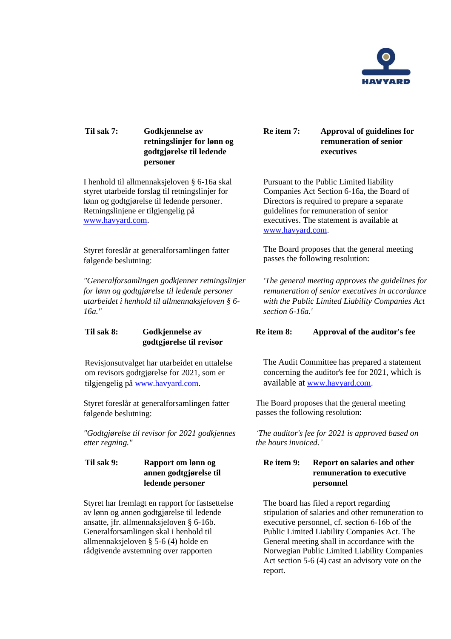

## **Til sak 7: Godkjennelse av retningslinjer for lønn og godtgjørelse til ledende personer**

I henhold til allmennaksjeloven § 6-16a skal styret utarbeide forslag til retningslinjer for lønn og godtgjørelse til ledende personer. Retningslinjene er tilgjengelig på [www.havyard.com.](http://www.havyard.com/)

Styret foreslår at generalforsamlingen fatter følgende beslutning:

*"Generalforsamlingen godkjenner retningslinjer for lønn og godtgjørelse til ledende personer utarbeidet i henhold til allmennaksjeloven § 6- 16a."* 

### **Til sak 8: Godkjennelse av godtgjørelse til revisor**

Revisjonsutvalget har utarbeidet en uttalelse om revisors godtgjørelse for 2021, som er tilgjengelig p[å www.havyard.com.](http://www.havyard.com/)

Styret foreslår at generalforsamlingen fatter følgende beslutning:

*"Godtgjørelse til revisor for 2021 godkjennes etter regning."*

### **Til sak 9: Rapport om lønn og annen godtgjørelse til ledende personer**

Styret har fremlagt en rapport for fastsettelse av lønn og annen godtgjørelse til ledende ansatte, jfr. allmennaksjeloven § 6-16b. Generalforsamlingen skal i henhold til allmennaksjeloven § 5-6 (4) holde en rådgivende avstemning over rapporten

### **Re item 7: Approval of guidelines for remuneration of senior executives**

Pursuant to the Public Limited liability Companies Act Section 6-16a, the Board of Directors is required to prepare a separate guidelines for remuneration of senior executives. The statement is available at [www.havyard.com.](http://www.havyard.com/)

The Board proposes that the general meeting passes the following resolution:

*'The general meeting approves the guidelines for remuneration of senior executives in accordance with the Public Limited Liability Companies Act section 6-16a.'* 

## **Re item 8: Approval of the auditor's fee**

The Audit Committee has prepared a statement concerning the auditor's fee for 2021, which is available at [www.havyard.com.](http://www.havyard.com/)

The Board proposes that the general meeting passes the following resolution:

*'The auditor's fee for 2021 is approved based on the hours invoiced.'*

### **Re item 9: Report on salaries and other remuneration to executive personnel**

The board has filed a report regarding stipulation of salaries and other remuneration to executive personnel, cf. section 6‐16b of the Public Limited Liability Companies Act. The General meeting shall in accordance with the Norwegian Public Limited Liability Companies Act section 5-6 (4) cast an advisory vote on the report.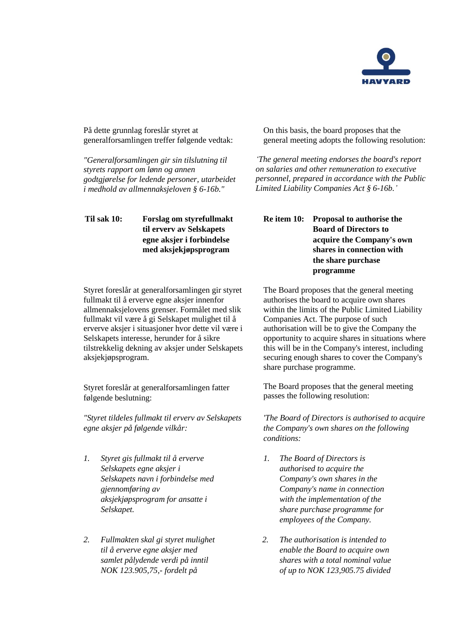

På dette grunnlag foreslår styret at generalforsamlingen treffer følgende vedtak:

*"Generalforsamlingen gir sin tilslutning til styrets rapport om lønn og annen godtgjørelse for ledende personer, utarbeidet i medhold av allmennaksjeloven § 6-16b."*

**Til sak 10: Forslag om styrefullmakt til erverv av Selskapets egne aksjer i forbindelse med aksjekjøpsprogram**

Styret foreslår at generalforsamlingen gir styret fullmakt til å erverve egne aksjer innenfor allmennaksjelovens grenser. Formålet med slik fullmakt vil være å gi Selskapet mulighet til å erverve aksjer i situasjoner hvor dette vil være i Selskapets interesse, herunder for å sikre tilstrekkelig dekning av aksjer under Selskapets aksjekjøpsprogram.

Styret foreslår at generalforsamlingen fatter følgende beslutning:

*"Styret tildeles fullmakt til erverv av Selskapets egne aksjer på følgende vilkår:* 

- *1. Styret gis fullmakt til å erverve Selskapets egne aksjer i Selskapets navn i forbindelse med gjennomføring av aksjekjøpsprogram for ansatte i Selskapet.*
- *2. Fullmakten skal gi styret mulighet til å erverve egne aksjer med samlet pålydende verdi på inntil NOK 123.905,75,- fordelt på*

On this basis, the board proposes that the general meeting adopts the following resolution:

*'The general meeting endorses the board's report on salaries and other remuneration to executive personnel, prepared in accordance with the Public Limited Liability Companies Act § 6-16b.'*

## **Re item 10: Proposal to authorise the Board of Directors to acquire the Company's own shares in connection with the share purchase programme**

The Board proposes that the general meeting authorises the board to acquire own shares within the limits of the Public Limited Liability Companies Act. The purpose of such authorisation will be to give the Company the opportunity to acquire shares in situations where this will be in the Company's interest, including securing enough shares to cover the Company's share purchase programme.

The Board proposes that the general meeting passes the following resolution:

*'The Board of Directors is authorised to acquire the Company's own shares on the following conditions:* 

- *1. The Board of Directors is authorised to acquire the Company's own shares in the Company's name in connection with the implementation of the share purchase programme for employees of the Company.*
- *2. The authorisation is intended to enable the Board to acquire own shares with a total nominal value of up to NOK 123,905.75 divided*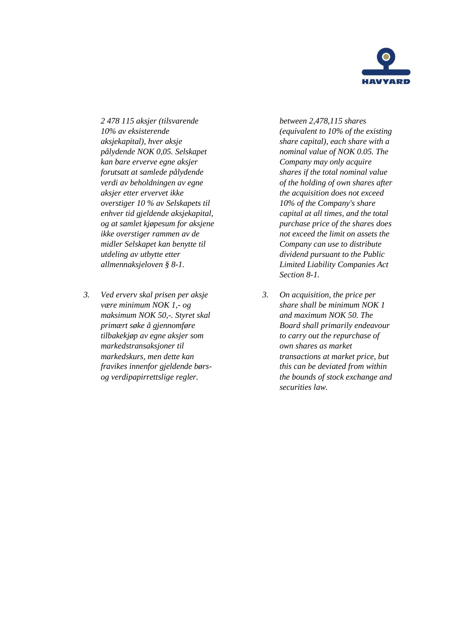

*2 478 115 aksjer (tilsvarende 10% av eksisterende aksjekapital), hver aksje pålydende NOK 0,05. Selskapet kan bare erverve egne aksjer forutsatt at samlede pålydende verdi av beholdningen av egne aksjer etter ervervet ikke overstiger 10 % av Selskapets til enhver tid gjeldende aksjekapital, og at samlet kjøpesum for aksjene ikke overstiger rammen av de midler Selskapet kan benytte til utdeling av utbytte etter allmennaksjeloven § 8-1.* 

*3. Ved erverv skal prisen per aksje være minimum NOK 1,- og maksimum NOK 50,-. Styret skal primært søke å gjennomføre tilbakekjøp av egne aksjer som markedstransaksjoner til markedskurs, men dette kan fravikes innenfor gjeldende børsog verdipapirrettslige regler.* 

*between 2,478,115 shares (equivalent to 10% of the existing share capital), each share with a nominal value of NOK 0.05. The Company may only acquire shares if the total nominal value of the holding of own shares after the acquisition does not exceed 10% of the Company's share capital at all times, and the total purchase price of the shares does not exceed the limit on assets the Company can use to distribute dividend pursuant to the Public Limited Liability Companies Act Section 8-1.* 

*3. On acquisition, the price per share shall be minimum NOK 1 and maximum NOK 50. The Board shall primarily endeavour to carry out the repurchase of own shares as market transactions at market price, but this can be deviated from within the bounds of stock exchange and securities law.*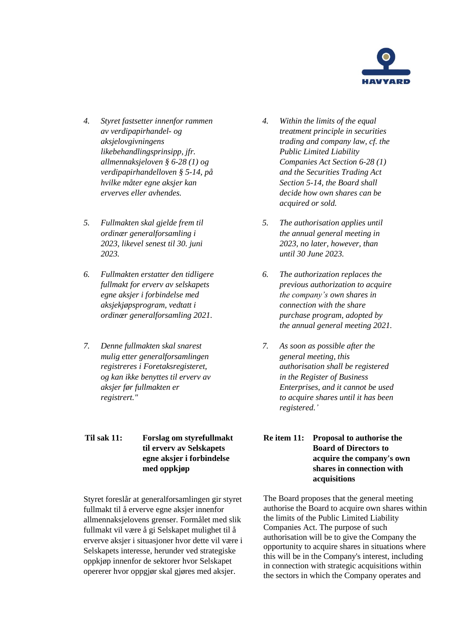

- *4. Styret fastsetter innenfor rammen av verdipapirhandel- og aksjelovgivningens likebehandlingsprinsipp, jfr. allmennaksjeloven § 6-28 (1) og verdipapirhandelloven § 5-14, på hvilke måter egne aksjer kan erverves eller avhendes.*
- *5. Fullmakten skal gjelde frem til ordinær generalforsamling i 2023, likevel senest til 30. juni 2023.*
- *6. Fullmakten erstatter den tidligere fullmakt for erverv av selskapets egne aksjer i forbindelse med aksjekjøpsprogram, vedtatt i ordinær generalforsamling 2021.*
- *7. Denne fullmakten skal snarest mulig etter generalforsamlingen registreres i Foretaksregisteret, og kan ikke benyttes til erverv av aksjer før fullmakten er registrert."*
- **Til sak 11: Forslag om styrefullmakt til erverv av Selskapets egne aksjer i forbindelse med oppkjøp**

Styret foreslår at generalforsamlingen gir styret fullmakt til å erverve egne aksjer innenfor allmennaksjelovens grenser. Formålet med slik fullmakt vil være å gi Selskapet mulighet til å erverve aksjer i situasjoner hvor dette vil være i Selskapets interesse, herunder ved strategiske oppkjøp innenfor de sektorer hvor Selskapet opererer hvor oppgjør skal gjøres med aksjer.

- *4. Within the limits of the equal treatment principle in securities trading and company law, cf. the Public Limited Liability Companies Act Section 6-28 (1) and the Securities Trading Act Section 5-14, the Board shall decide how own shares can be acquired or sold.*
- *5. The authorisation applies until the annual general meeting in 2023, no later, however, than until 30 June 2023.*
- *6. The authorization replaces the previous authorization to acquire the company's own shares in connection with the share purchase program, adopted by the annual general meeting 2021.*
- *7. As soon as possible after the general meeting, this authorisation shall be registered in the Register of Business Enterprises, and it cannot be used to acquire shares until it has been registered.'*

## **Re item 11: Proposal to authorise the Board of Directors to acquire the company's own shares in connection with acquisitions**

The Board proposes that the general meeting authorise the Board to acquire own shares within the limits of the Public Limited Liability Companies Act. The purpose of such authorisation will be to give the Company the opportunity to acquire shares in situations where this will be in the Company's interest, including in connection with strategic acquisitions within the sectors in which the Company operates and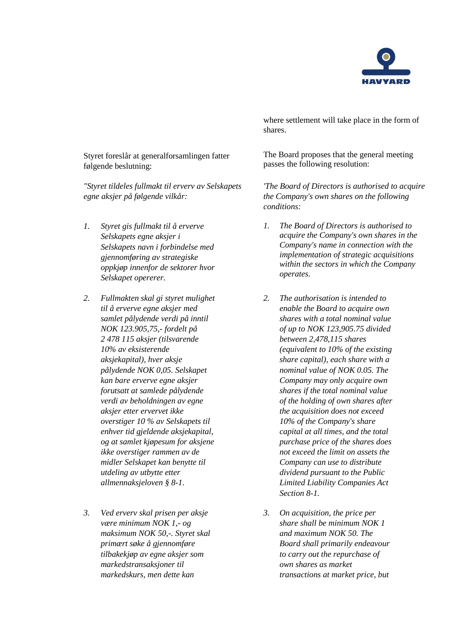

Styret foreslår at generalforsamlingen fatter følgende beslutning:

*"Styret tildeles fullmakt til erverv av Selskapets egne aksjer på følgende vilkår:* 

- *1. Styret gis fullmakt til å erverve Selskapets egne aksjer i Selskapets navn i forbindelse med gjennomføring av strategiske oppkjøp innenfor de sektorer hvor Selskapet opererer.*
- *2. Fullmakten skal gi styret mulighet til å erverve egne aksjer med samlet pålydende verdi på inntil NOK 123.905,75,- fordelt på 2 478 115 aksjer (tilsvarende 10% av eksisterende aksjekapital), hver aksje pålydende NOK 0,05. Selskapet kan bare erverve egne aksjer forutsatt at samlede pålydende verdi av beholdningen av egne aksjer etter ervervet ikke overstiger 10 % av Selskapets til enhver tid gjeldende aksjekapital, og at samlet kjøpesum for aksjene ikke overstiger rammen av de midler Selskapet kan benytte til utdeling av utbytte etter allmennaksjeloven § 8-1.*
- *3. Ved erverv skal prisen per aksje være minimum NOK 1,- og maksimum NOK 50,-. Styret skal primært søke å gjennomføre tilbakekjøp av egne aksjer som markedstransaksjoner til markedskurs, men dette kan*

where settlement will take place in the form of shares.

The Board proposes that the general meeting passes the following resolution:

*'The Board of Directors is authorised to acquire the Company's own shares on the following conditions:* 

- *1. The Board of Directors is authorised to acquire the Company's own shares in the Company's name in connection with the implementation of strategic acquisitions within the sectors in which the Company operates.*
- *2. The authorisation is intended to enable the Board to acquire own shares with a total nominal value of up to NOK 123,905.75 divided between 2,478,115 shares (equivalent to 10% of the existing share capital), each share with a nominal value of NOK 0.05. The Company may only acquire own shares if the total nominal value of the holding of own shares after the acquisition does not exceed 10% of the Company's share capital at all times, and the total purchase price of the shares does not exceed the limit on assets the Company can use to distribute dividend pursuant to the Public Limited Liability Companies Act Section 8-1.*
- *3. On acquisition, the price per share shall be minimum NOK 1 and maximum NOK 50. The Board shall primarily endeavour to carry out the repurchase of own shares as market transactions at market price, but*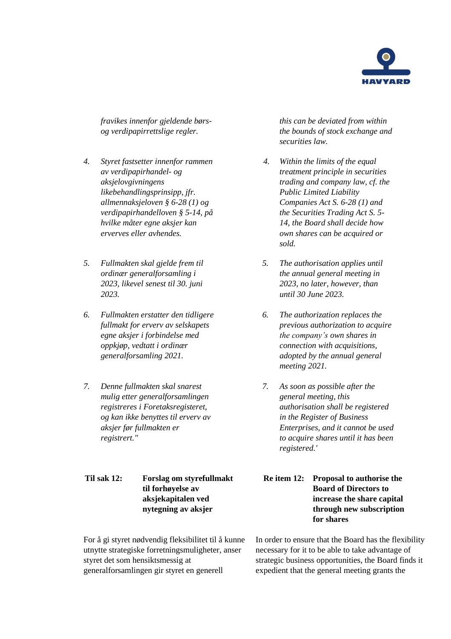

*fravikes innenfor gjeldende børsog verdipapirrettslige regler.* 

- *4. Styret fastsetter innenfor rammen av verdipapirhandel- og aksjelovgivningens likebehandlingsprinsipp, jfr. allmennaksjeloven § 6-28 (1) og verdipapirhandelloven § 5-14, på hvilke måter egne aksjer kan erverves eller avhendes.*
- *5. Fullmakten skal gjelde frem til ordinær generalforsamling i 2023, likevel senest til 30. juni 2023.*
- *6. Fullmakten erstatter den tidligere fullmakt for erverv av selskapets egne aksjer i forbindelse med oppkjøp, vedtatt i ordinær generalforsamling 2021.*
- *7. Denne fullmakten skal snarest mulig etter generalforsamlingen registreres i Foretaksregisteret, og kan ikke benyttes til erverv av aksjer før fullmakten er registrert."*

**Til sak 12: Forslag om styrefullmakt til forhøyelse av aksjekapitalen ved nytegning av aksjer**

For å gi styret nødvendig fleksibilitet til å kunne utnytte strategiske forretningsmuligheter, anser styret det som hensiktsmessig at generalforsamlingen gir styret en generell

*this can be deviated from within the bounds of stock exchange and securities law.* 

- *4. Within the limits of the equal treatment principle in securities trading and company law, cf. the Public Limited Liability Companies Act S. 6-28 (1) and the Securities Trading Act S. 5- 14, the Board shall decide how own shares can be acquired or sold.*
- *5. The authorisation applies until the annual general meeting in 2023, no later, however, than until 30 June 2023.*
- *6. The authorization replaces the previous authorization to acquire the company's own shares in connection with acquisitions, adopted by the annual general meeting 2021.*
- *7. As soon as possible after the general meeting, this authorisation shall be registered in the Register of Business Enterprises, and it cannot be used to acquire shares until it has been registered.'*
- **Re item 12: Proposal to authorise the Board of Directors to increase the share capital through new subscription for shares**

In order to ensure that the Board has the flexibility necessary for it to be able to take advantage of strategic business opportunities, the Board finds it expedient that the general meeting grants the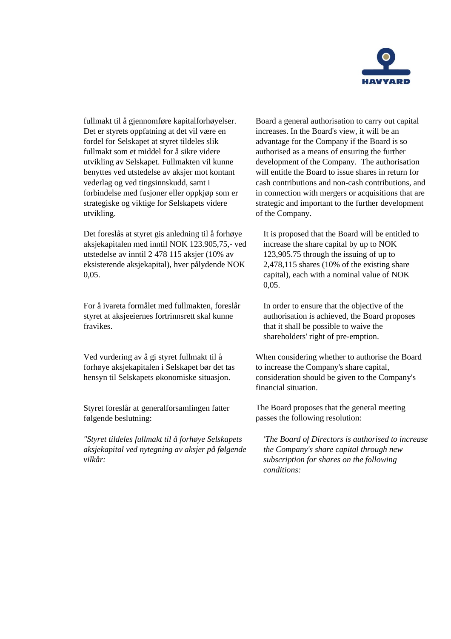

fullmakt til å gjennomføre kapitalforhøyelser. Det er styrets oppfatning at det vil være en fordel for Selskapet at styret tildeles slik fullmakt som et middel for å sikre videre utvikling av Selskapet. Fullmakten vil kunne benyttes ved utstedelse av aksjer mot kontant vederlag og ved tingsinnskudd, samt i forbindelse med fusjoner eller oppkjøp som er strategiske og viktige for Selskapets videre utvikling.

Det foreslås at styret gis anledning til å forhøye aksjekapitalen med inntil NOK 123.905,75,- ved utstedelse av inntil 2 478 115 aksjer (10% av eksisterende aksjekapital), hver pålydende NOK 0,05.

For å ivareta formålet med fullmakten, foreslår styret at aksjeeiernes fortrinnsrett skal kunne fravikes.

Ved vurdering av å gi styret fullmakt til å forhøye aksjekapitalen i Selskapet bør det tas hensyn til Selskapets økonomiske situasjon.

Styret foreslår at generalforsamlingen fatter følgende beslutning:

*"Styret tildeles fullmakt til å forhøye Selskapets aksjekapital ved nytegning av aksjer på følgende vilkår:* 

Board a general authorisation to carry out capital increases. In the Board's view, it will be an advantage for the Company if the Board is so authorised as a means of ensuring the further development of the Company. The authorisation will entitle the Board to issue shares in return for cash contributions and non-cash contributions, and in connection with mergers or acquisitions that are strategic and important to the further development of the Company.

It is proposed that the Board will be entitled to increase the share capital by up to NOK 123,905.75 through the issuing of up to 2,478,115 shares (10% of the existing share capital), each with a nominal value of NOK 0,05.

In order to ensure that the objective of the authorisation is achieved, the Board proposes that it shall be possible to waive the shareholders' right of pre-emption.

When considering whether to authorise the Board to increase the Company's share capital, consideration should be given to the Company's financial situation.

The Board proposes that the general meeting passes the following resolution:

*'The Board of Directors is authorised to increase the Company's share capital through new subscription for shares on the following conditions:*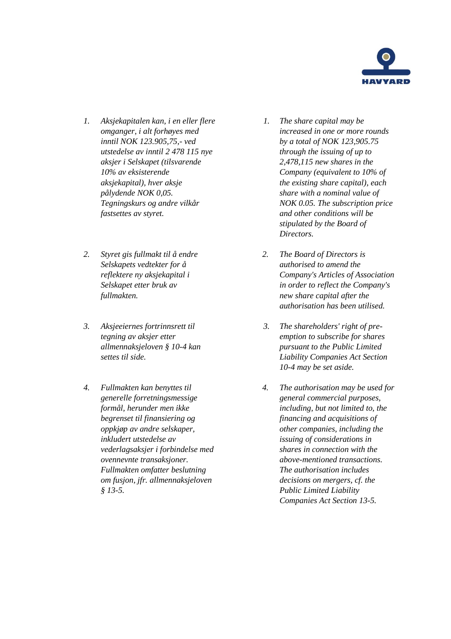

- *1. Aksjekapitalen kan, i en eller flere omganger, i alt forhøyes med inntil NOK 123.905,75,- ved utstedelse av inntil 2 478 115 nye aksjer i Selskapet (tilsvarende 10% av eksisterende aksjekapital), hver aksje pålydende NOK 0,05. Tegningskurs og andre vilkår fastsettes av styret.*
- *2. Styret gis fullmakt til å endre Selskapets vedtekter for å reflektere ny aksjekapital i Selskapet etter bruk av fullmakten.*
- *3. Aksjeeiernes fortrinnsrett til tegning av aksjer etter allmennaksjeloven § 10-4 kan settes til side.*
- *4. Fullmakten kan benyttes til generelle forretningsmessige formål, herunder men ikke begrenset til finansiering og oppkjøp av andre selskaper, inkludert utstedelse av vederlagsaksjer i forbindelse med ovennevnte transaksjoner. Fullmakten omfatter beslutning om fusjon, jfr. allmennaksjeloven § 13-5.*
- *1. The share capital may be increased in one or more rounds by a total of NOK 123,905.75 through the issuing of up to 2,478,115 new shares in the Company (equivalent to 10% of the existing share capital), each share with a nominal value of NOK 0.05. The subscription price and other conditions will be stipulated by the Board of Directors.*
- *2. The Board of Directors is authorised to amend the Company's Articles of Association in order to reflect the Company's new share capital after the authorisation has been utilised.*
- *3. The shareholders' right of preemption to subscribe for shares pursuant to the Public Limited Liability Companies Act Section 10-4 may be set aside.*
- *4. The authorisation may be used for general commercial purposes, including, but not limited to, the financing and acquisitions of other companies, including the issuing of considerations in shares in connection with the above-mentioned transactions. The authorisation includes decisions on mergers, cf. the Public Limited Liability Companies Act Section 13-5.*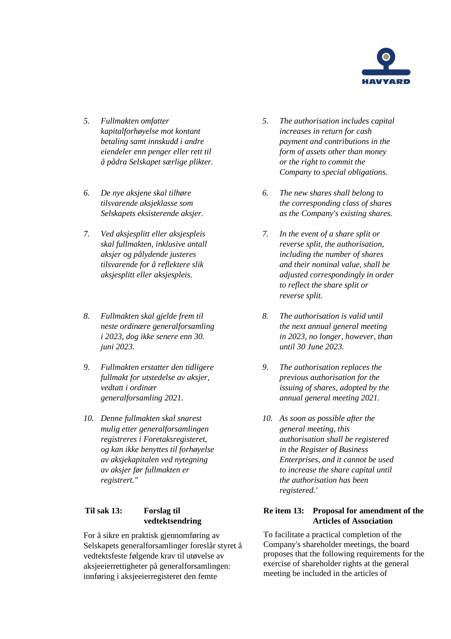

- *5. Fullmakten omfatter kapitalforhøyelse mot kontant betaling samt innskudd i andre eiendeler enn penger eller rett til å pådra Selskapet særlige plikter.*
- *6. De nye aksjene skal tilhøre tilsvarende aksjeklasse som Selskapets eksisterende aksjer.*
- *7. Ved aksjesplitt eller aksjespleis skal fullmakten, inklusive antall aksjer og pålydende justeres tilsvarende for å reflektere slik aksjesplitt eller aksjespleis.*
- *8. Fullmakten skal gjelde frem til neste ordinære generalforsamling i 2023, dog ikke senere enn 30. juni 2023.*
- *9. Fullmakten erstatter den tidligere fullmakt for utstedelse av aksjer, vedtatt i ordinær generalforsamling 2021.*
- *10. Denne fullmakten skal snarest mulig etter generalforsamlingen registreres i Foretaksregisteret, og kan ikke benyttes til forhøyelse av aksjekapitalen ved nytegning av aksjer før fullmakten er registrert."*

## **Til sak 13: Forslag til vedtektsendring**

For å sikre en praktisk gjennomføring av Selskapets generalforsamlinger foreslår styret å vedtektsfeste følgende krav til utøvelse av aksjeeierrettigheter på generalforsamlingen: innføring i aksjeeierregisteret den femte

- *5. The authorisation includes capital increases in return for cash payment and contributions in the form of assets other than money or the right to commit the Company to special obligations.*
- *6. The new shares shall belong to the corresponding class of shares as the Company's existing shares.*
- *7. In the event of a share split or reverse split, the authorisation, including the number of shares and their nominal value, shall be adjusted correspondingly in order to reflect the share split or reverse split.*
- *8. The authorisation is valid until the next annual general meeting in 2023, no longer, however, than until 30 June 2023.*
- *9. The authorisation replaces the previous authorisation for the issuing of shares, adopted by the annual general meeting 2021.*
- *10. As soon as possible after the general meeting, this authorisation shall be registered in the Register of Business Enterprises, and it cannot be used to increase the share capital until the authorisation has been registered.'*

## **Re item 13: Proposal for amendment of the Articles of Association**

To facilitate a practical completion of the Company's shareholder meetings, the board proposes that the following requirements for the exercise of shareholder rights at the general meeting be included in the articles of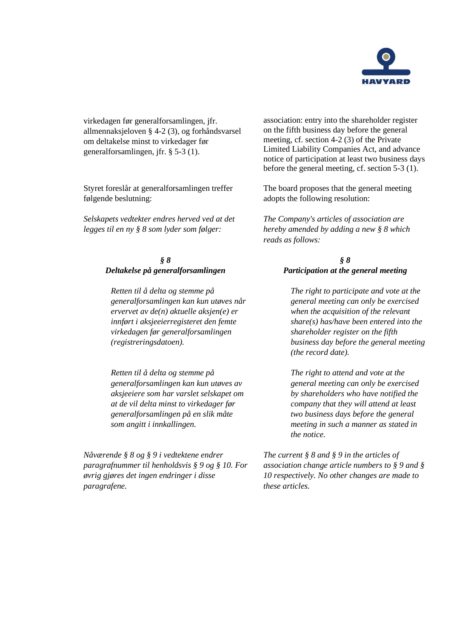

virkedagen før generalforsamlingen, jfr. allmennaksjeloven § 4-2 (3), og forhåndsvarsel om deltakelse minst to virkedager før generalforsamlingen, jfr. § 5-3 (1).

Styret foreslår at generalforsamlingen treffer følgende beslutning:

*Selskapets vedtekter endres herved ved at det legges til en ny § 8 som lyder som følger:*

### *§ 8 Deltakelse på generalforsamlingen*

*Retten til å delta og stemme på generalforsamlingen kan kun utøves når ervervet av de(n) aktuelle aksjen(e) er innført i aksjeeierregisteret den femte virkedagen før generalforsamlingen (registreringsdatoen).*

*Retten til å delta og stemme på generalforsamlingen kan kun utøves av aksjeeiere som har varslet selskapet om at de vil delta minst to virkedager før generalforsamlingen på en slik måte som angitt i innkallingen.*

*Nåværende § 8 og § 9 i vedtektene endrer paragrafnummer til henholdsvis § 9 og § 10. For øvrig gjøres det ingen endringer i disse paragrafene.*

association: entry into the shareholder register on the fifth business day before the general meeting, cf. section 4-2 (3) of the Private Limited Liability Companies Act, and advance notice of participation at least two business days before the general meeting, cf. section 5-3 (1).

The board proposes that the general meeting adopts the following resolution:

*The Company's articles of association are hereby amended by adding a new § 8 which reads as follows:*

## *§ 8 Participation at the general meeting*

*The right to participate and vote at the general meeting can only be exercised when the acquisition of the relevant share(s) has/have been entered into the shareholder register on the fifth business day before the general meeting (the record date).*

*The right to attend and vote at the general meeting can only be exercised by shareholders who have notified the company that they will attend at least two business days before the general meeting in such a manner as stated in the notice.*

*The current § 8 and § 9 in the articles of association change article numbers to § 9 and § 10 respectively. No other changes are made to these articles.*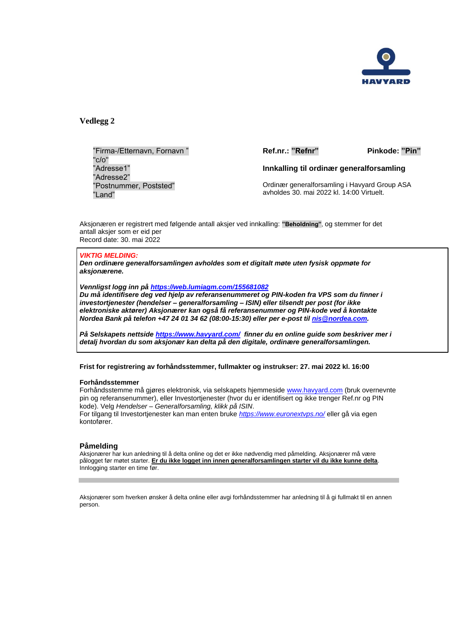

**Vedlegg 2**

"Firma-/Etternavn, Fornavn " "c/o" "Adresse1" "Adresse2" "Postnummer, Poststed" "Land"

**Ref.nr.: "Refnr" Pinkode: "Pin"**

**Innkalling til ordinær generalforsamling**

Ordinær generalforsamling i Havyard Group ASA avholdes 30. mai 2022 kl. 14:00 Virtuelt.

Aksjonæren er registrert med følgende antall aksjer ved innkalling: **"Beholdning"**, og stemmer for det antall aksjer som er eid per Record date: 30. mai 2022

### *VIKTIG MELDING:*

*Den ordinære generalforsamlingen avholdes som et digitalt møte uten fysisk oppmøte for aksjonærene.*

*Vennligst logg inn på [https://web.lumiagm.com/155681082](https://urldefense.proofpoint.com/v2/url?u=https-3A__web.lumiagm.com_155681082&d=DwMFAw&c=euGZstcaTDllvimEN8b7jXrwqOf-v5A_CdpgnVfiiMM&r=EiSkYPr0EFS_HsqIi6wboA&m=gP88suAusuyq13vfUTjTyi8iU8Bdt-83J_h5ShPSCow&s=tutlPBh628-hGXEnv706IPv94zcOmd9zS5J5LWsh1jo&e=)*

*Du må identifisere deg ved hjelp av referansenummeret og PIN-koden fra VPS som du finner i investortjenester (hendelser – generalforsamling – ISIN) eller tilsendt per post (for ikke elektroniske aktører) Aksjonærer kan også få referansenummer og PIN-kode ved å kontakte Nordea Bank på telefon +47 24 01 34 62 (08:00-15:30) eller per e-post til [nis@nordea.com.](mailto:nis@nordea.com)*

*På Selskapets nettside<https://www.havyard.com/> finner du en online guide som beskriver mer i detalj hvordan du som aksjonær kan delta på den digitale, ordinære generalforsamlingen.*

### **Frist for registrering av forhåndsstemmer, fullmakter og instrukser: 27. mai 2022 kl. 16:00**

#### **Forhåndsstemmer**

Forhåndsstemme må gjøres elektronisk, via selskapets hjemmeside [www.havyard.com](http://www.havyard.com/) (bruk overnevnte pin og referansenummer), eller Investortjenester (hvor du er identifisert og ikke trenger Ref.nr og PIN kode). Velg *Hendelser* – *Generalforsamling, klikk på ISIN*.

For tilgang til Investortjenester kan man enten bruke *<https://www.euronextvps.no/>* eller gå via egen kontofører.

### **Påmelding**

Aksjonærer har kun anledning til å delta online og det er ikke nødvendig med påmelding. Aksjonærer må være pålogget før møtet starter. **Er du ikke logget inn innen generalforsamlingen starter vil du ikke kunne delta**. Innlogging starter en time før.

Aksjonærer som hverken ønsker å delta online eller avgi forhåndsstemmer har anledning til å gi fullmakt til en annen person.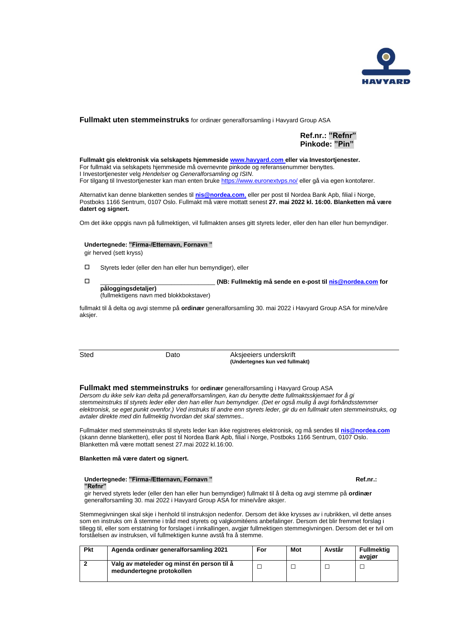

### **Fullmakt uten stemmeinstruks** for ordinær generalforsamling i Havyard Group ASA

### **Ref.nr.: "Refnr" Pinkode: "Pin"**

**Fullmakt gis elektronisk via selskapets hjemmeside [www.havyard.com](http://www.havyard.com/) eller via Investortjenester.** For fullmakt via selskapets hjemmeside må overnevnte pinkode og referansenummer benyttes. I Investortjenester velg *Hendelser* og *Generalforsamling og ISIN*. For tilgang til Investortjenester kan man enten bruk[e https://www.euronextvps.no/](https://www.euronextvps.no/) eller gå via egen kontofører.

Alternativt kan denne blanketten sendes til **[nis@nordea.com](mailto:nis@nordea.com)**, eller per post til Nordea Bank Apb, filial i Norge, Postboks 1166 Sentrum, 0107 Oslo. Fullmakt må være mottatt senest **27. mai 2022 kl. 16:00. Blanketten må være datert og signert.**

Om det ikke oppgis navn på fullmektigen, vil fullmakten anses gitt styrets leder, eller den han eller hun bemyndiger.

#### **Undertegnede: "Firma-/Etternavn, Fornavn "**

gir herved (sett kryss)

Styrets leder (eller den han eller hun bemyndiger), eller

 \_\_\_\_\_\_\_\_\_\_\_\_\_\_\_\_\_\_\_\_\_\_\_\_\_\_\_\_\_\_\_\_\_\_ **(NB: Fullmektig må sende en e-post ti[l nis@nordea.com](mailto:nis@nordea.com) for påloggingsdetaljer)**

(fullmektigens navn med blokkbokstaver)

fullmakt til å delta og avgi stemme på **ordinær** generalforsamling 30. mai 2022 i Havyard Group ASA for mine/våre aksjer.

Sted Dato Dato Aksjeeiers underskrift **(Undertegnes kun ved fullmakt)**

#### **Fullmakt med stemmeinstruks** for **ordinær** generalforsamling i Havyard Group ASA

*Dersom du ikke selv kan delta på generalforsamlingen, kan du benytte dette fullmaktsskjemaet for å gi stemmeinstruks til styrets leder eller den han eller hun bemyndiger. (Det er også mulig å avgi forhåndsstemmer elektronisk, se eget punkt ovenfor.) Ved instruks til andre enn styrets leder, gir du en fullmakt uten stemmeinstruks, og avtaler direkte med din fullmektig hvordan det skal stemmes..*

Fullmakter med stemmeinstruks til styrets leder kan ikke registreres elektronisk, og må sendes til **[nis@nordea.com](mailto:nis@nordea.com)** (skann denne blanketten), eller post til Nordea Bank Apb, filial i Norge, Postboks 1166 Sentrum, 0107 Oslo. Blanketten må være mottatt senest 27.mai 2022 kl.16:00.

#### **Blanketten må være datert og signert.**

#### Undertegnede: "Firma-/Etternavn, Fornavn " **Washington Communist Communist Communist Communist Communist Communist Communist Communist Communist Communist Ref.nr.: "Refnr"**

gir herved styrets leder (eller den han eller hun bemyndiger) fullmakt til å delta og avgi stemme på **ordinær** generalforsamling 30. mai 2022 i Havyard Group ASA for mine/våre aksjer.

Stemmegivningen skal skje i henhold til instruksjon nedenfor. Dersom det ikke krysses av i rubrikken, vil dette anses som en instruks om å stemme i tråd med styrets og valgkomitéens anbefalinger. Dersom det blir fremmet forslag i tillegg til, eller som erstatning for forslaget i innkallingen, avgjør fullmektigen stemmegivningen. Dersom det er tvil om forståelsen av instruksen, vil fullmektigen kunne avstå fra å stemme.

| <b>Pkt</b> | Agenda ordinær generalforsamling 2021                                   | For | Mot | Avstår | Fullmektia<br>avgjør |
|------------|-------------------------------------------------------------------------|-----|-----|--------|----------------------|
|            | Valg av møteleder og minst én person til å<br>medundertegne protokollen |     |     |        |                      |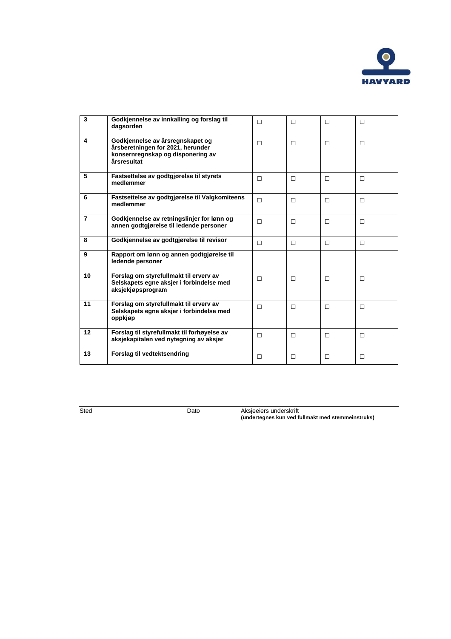

| 3                       | Godkjennelse av innkalling og forslag til<br>dagsorden                                                                    | $\Box$ | П      | П | $\Box$ |
|-------------------------|---------------------------------------------------------------------------------------------------------------------------|--------|--------|---|--------|
| $\overline{\mathbf{4}}$ | Godkjennelse av årsregnskapet og<br>årsberetningen for 2021, herunder<br>konsernregnskap og disponering av<br>årsresultat | П      | $\Box$ | П | $\Box$ |
| 5                       | Fastsettelse av godtgjørelse til styrets<br>medlemmer                                                                     | П      | П      | п | П      |
| 6                       | Fastsettelse av godtgjørelse til Valgkomiteens<br>medlemmer                                                               | П      | $\Box$ | П | $\Box$ |
| $\overline{7}$          | Godkjennelse av retningslinjer for lønn og<br>annen godtgjørelse til ledende personer                                     | $\Box$ | $\Box$ | П | $\Box$ |
| 8                       | Godkjennelse av godtgjørelse til revisor                                                                                  | П      | $\Box$ | П | $\Box$ |
| 9                       | Rapport om lønn og annen godtgjørelse til<br>ledende personer                                                             |        |        |   |        |
| 10                      | Forslag om styrefullmakt til erverv av<br>Selskapets eqne aksjer i forbindelse med<br>aksjekjøpsprogram                   | $\Box$ | $\Box$ | П | $\Box$ |
| 11                      | Forslag om styrefullmakt til erverv av<br>Selskapets egne aksjer i forbindelse med<br>oppkjøp                             | П      | П      | П | $\Box$ |
| 12                      | Forslag til styrefullmakt til forhøyelse av<br>aksjekapitalen ved nytegning av aksjer                                     | $\Box$ | П      | П | $\Box$ |
| 13                      | Forslag til vedtektsendring                                                                                               | П      | П      | П | П      |

Sted Dato Aksjeeiers underskrift **(undertegnes kun ved fullmakt med stemmeinstruks)**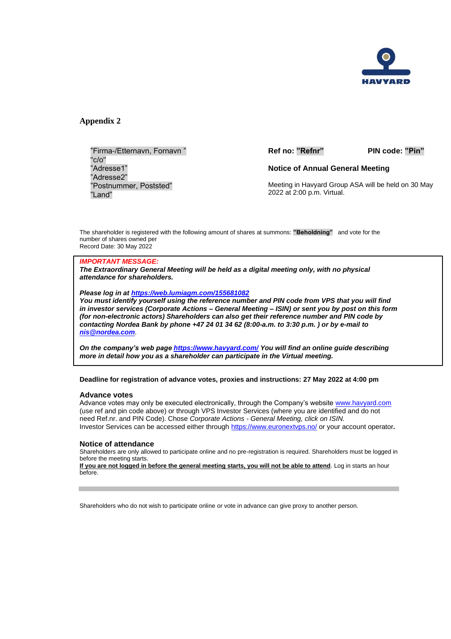

**Appendix 2**

"Firma-/Etternavn, Fornavn " "c/o" "Adresse1" "Adresse2" "Postnummer, Poststed" "Land"

**Ref no: "Refnr" PIN code: "Pin"**

**Notice of Annual General Meeting**

Meeting in Havyard Group ASA will be held on 30 May 2022 at 2:00 p.m. Virtual.

The shareholder is registered with the following amount of shares at summons: **"Beholdning"** and vote for the number of shares owned per Record Date: 30 May 2022

### *IMPORTANT MESSAGE:*

*The Extraordinary General Meeting will be held as a digital meeting only, with no physical attendance for shareholders.*

*Please log in at [https://web.lumiagm.com/155681082](https://urldefense.proofpoint.com/v2/url?u=https-3A__web.lumiagm.com_155681082&d=DwMFAw&c=euGZstcaTDllvimEN8b7jXrwqOf-v5A_CdpgnVfiiMM&r=EiSkYPr0EFS_HsqIi6wboA&m=gP88suAusuyq13vfUTjTyi8iU8Bdt-83J_h5ShPSCow&s=tutlPBh628-hGXEnv706IPv94zcOmd9zS5J5LWsh1jo&e=)*

*You must identify yourself using the reference number and PIN code from VPS that you will find in investor services (Corporate Actions – General Meeting – ISIN) or sent you by post on this form (for non-electronic actors) Shareholders can also get their reference number and PIN code by contacting Nordea Bank by phone +47 24 01 34 62 (8:00-a.m. to 3:30 p.m. ) or by e-mail to [nis@nordea.com](mailto:nis@nordea.com)*.

*On the company's web page<https://www.havyard.com/> You will find an online guide describing more in detail how you as a shareholder can participate in the Virtual meeting.* 

**Deadline for registration of advance votes, proxies and instructions: 27 May 2022 at 4:00 pm**

#### **Advance votes**

Advance votes may only be executed electronically, through the Company's website [www.havyard.com](http://www.havyard.comx/) (use ref and pin code above) or through VPS Investor Services (where you are identified and do not need Ref.nr. and PIN Code). Chose *Corporate Actions - General Meeting, click on ISIN.* Investor Services can be accessed either through<https://www.euronextvps.no/> or your account operator*.*

### **Notice of attendance**

Shareholders are only allowed to participate online and no pre-registration is required. Shareholders must be logged in before the meeting starts.

**If you are not logged in before the general meeting starts, you will not be able to attend**. Log in starts an hour before.

Shareholders who do not wish to participate online or vote in advance can give proxy to another person.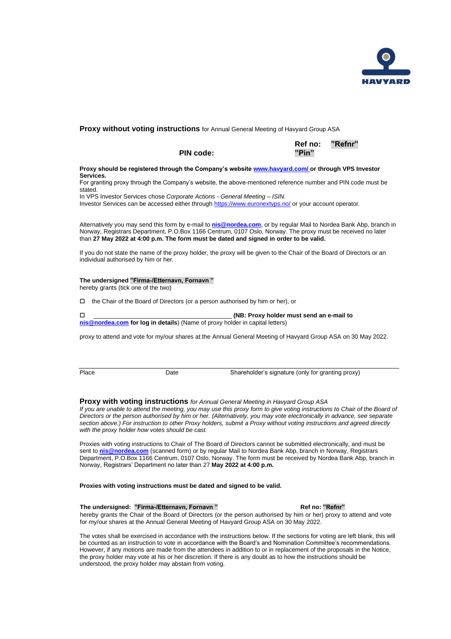

### **Proxy without voting instructions** for Annual General Meeting of Havyard Group ASA

**PIN code: "Pin"**

 **Ref no: "Refnr"**

#### **Proxy should be registered through the Company's website [www.havyard.com/](http://www.havyard.com/) or through VPS Investor Services.**

For granting proxy through the Company's website, the above-mentioned reference number and PIN code must be stated.

In VPS Investor Services chose *Corporate Actions - General Meeting – ISIN.*

Investor Services can be accessed either through<https://www.euronextvps.no/> or your account operator*.*

Alternatively you may send this form by e-mail to **[nis@nordea.com](mailto:nis@nordea.com)**, or by regular Mail to Nordea Bank Abp, branch in Norway, Registrars Department, P.O.Box 1166 Centrum, 0107 Oslo, Norway. The proxy must be received no later than **27 May 2022 at 4:00 p.m. The form must be dated and signed in order to be valid.**

If you do not state the name of the proxy holder, the proxy will be given to the Chair of the Board of Directors or an individual authorised by him or her.

### **The undersigned "Firma-/Etternavn, Fornavn "**

hereby grants (tick one of the two)

 $\Box$  the Chair of the Board of Directors (or a person authorised by him or her), or

|                                                                               | (NB: Proxy holder must send an e-mail to |
|-------------------------------------------------------------------------------|------------------------------------------|
| nis @nordea.com for log in details) (Name of proxy holder in capital letters) |                                          |

proxy to attend and vote for my/our shares at the Annual General Meeting of Havyard Group ASA on 30 May 2022.

|--|--|

Date Shareholder's signature (only for granting proxy)

### **Proxy with voting instructions** *for Annual General Meeting in Havyard Group ASA*

*If you are unable to attend the meeting, you may use this proxy form to give voting instructions to Chair of the Board of Directors or the person authorised by him or her. (Alternatively, you may vote electronically in advance, see separate section above.) For instruction to other Proxy holders, submit a Proxy without voting instructions and agreed directly with the proxy holder how votes should be cast.*

Proxies with voting instructions to Chair of The Board of Directors cannot be submitted electronically, and must be sent to **[nis@nordea.com](mailto:nis@nordea.com)** (scanned form) or by regular Mail to Nordea Bank Abp, branch in Norway, Registrars Department, P.O.Box 1166 Centrum, 0107 Oslo, Norway. The form must be received by Nordea Bank Abp, branch in Norway, Registrars' Department no later than 27 **May 2022 at 4:00 p.m.**

#### **Proxies with voting instructions must be dated and signed to be valid.**

#### **The undersigned: "Firma-/Etternavn, Fornavn " Ref no: "Refnr"**

hereby grants the Chair of the Board of Directors (or the person authorised by him or her) proxy to attend and vote for my/our shares at the Annual General Meeting of Havyard Group ASA on 30 May 2022.

The votes shall be exercised in accordance with the instructions below. If the sections for voting are left blank, this will be counted as an instruction to vote in accordance with the Board's and Nomination Committee's recommendations. However, if any motions are made from the attendees in addition to or in replacement of the proposals in the Notice, the proxy holder may vote at his or her discretion. If there is any doubt as to how the instructions should be understood, the proxy holder may abstain from voting.